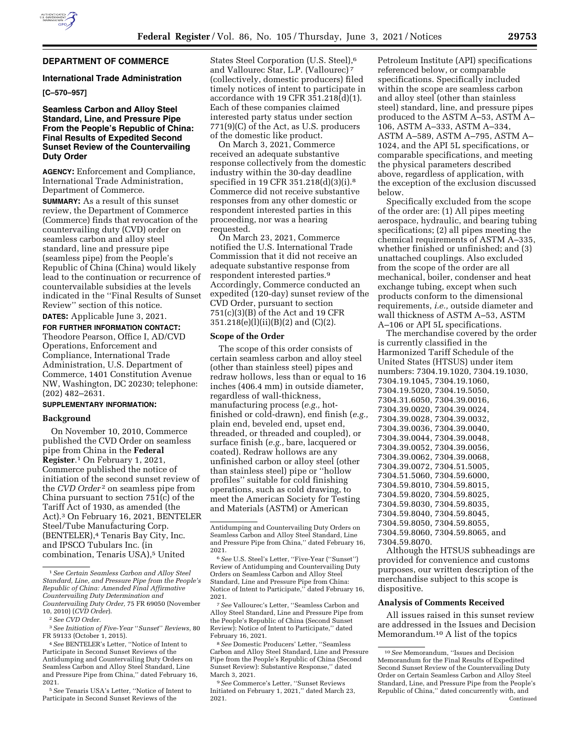

# **DEPARTMENT OF COMMERCE**

#### **International Trade Administration**

### **[C–570–957]**

## **Seamless Carbon and Alloy Steel Standard, Line, and Pressure Pipe From the People's Republic of China: Final Results of Expedited Second Sunset Review of the Countervailing Duty Order**

**AGENCY:** Enforcement and Compliance, International Trade Administration, Department of Commerce.

**SUMMARY:** As a result of this sunset review, the Department of Commerce (Commerce) finds that revocation of the countervailing duty (CVD) order on seamless carbon and alloy steel standard, line and pressure pipe (seamless pipe) from the People's Republic of China (China) would likely lead to the continuation or recurrence of countervailable subsidies at the levels indicated in the ''Final Results of Sunset Review'' section of this notice.

**DATES:** Applicable June 3, 2021.

**FOR FURTHER INFORMATION CONTACT:**  Theodore Pearson, Office I, AD/CVD Operations, Enforcement and Compliance, International Trade Administration, U.S. Department of Commerce, 1401 Constitution Avenue NW, Washington, DC 20230; telephone: (202) 482–2631.

### **SUPPLEMENTARY INFORMATION:**

#### **Background**

On November 10, 2010, Commerce published the CVD Order on seamless pipe from China in the **Federal Register**.1 On February 1, 2021, Commerce published the notice of initiation of the second sunset review of the *CVD* Order<sup>2</sup> on seamless pipe from China pursuant to section 751(c) of the Tariff Act of 1930, as amended (the Act).3 On February 16, 2021, BENTELER Steel/Tube Manufacturing Corp. (BENTELER),4 Tenaris Bay City, Inc. and IPSCO Tubulars Inc. (in combination, Tenaris USA),<sup>5</sup> United

5*See* Tenaris USA's Letter, ''Notice of Intent to Participate in Second Sunset Reviews of the

States Steel Corporation (U.S. Steel),6 and Vallourec Star, L.P. (Vallourec) 7 (collectively, domestic producers) filed timely notices of intent to participate in accordance with 19 CFR  $3\overline{5}1.218\overline{d}$ (d)(1). Each of these companies claimed interested party status under section 771(9)(C) of the Act, as U.S. producers of the domestic like product.

On March 3, 2021, Commerce received an adequate substantive response collectively from the domestic industry within the 30-day deadline specified in 19 CFR 351.218(d)(3)(i).8 Commerce did not receive substantive responses from any other domestic or respondent interested parties in this proceeding, nor was a hearing requested.

On March 23, 2021, Commerce notified the U.S. International Trade Commission that it did not receive an adequate substantive response from respondent interested parties.9 Accordingly, Commerce conducted an expedited (120-day) sunset review of the CVD Order, pursuant to section 751(c)(3)(B) of the Act and 19 CFR 351.218(e)(l)(ii)(B)(2) and (C)(2).

#### **Scope of the Order**

The scope of this order consists of certain seamless carbon and alloy steel (other than stainless steel) pipes and redraw hollows, less than or equal to 16 inches (406.4 mm) in outside diameter, regardless of wall-thickness, manufacturing process (*e.g.,* hotfinished or cold-drawn), end finish (*e.g.,*  plain end, beveled end, upset end, threaded, or threaded and coupled), or surface finish (*e.g.,* bare, lacquered or coated). Redraw hollows are any unfinished carbon or alloy steel (other than stainless steel) pipe or ''hollow profiles'' suitable for cold finishing operations, such as cold drawing, to meet the American Society for Testing and Materials (ASTM) or American

7*See* Vallourec's Letter, ''Seamless Carbon and Alloy Steel Standard, Line and Pressure Pipe from the People's Republic of China (Second Sunset Review): Notice of Intent to Participate,'' dated February 16, 2021.

8*See* Domestic Producers' Letter, ''Seamless Carbon and Alloy Steel Standard, Line and Pressure Pipe from the People's Republic of China (Second Sunset Review): Substantive Response,'' dated March 3, 2021.

9*See* Commerce's Letter, ''Sunset Reviews Initiated on February 1, 2021,'' dated March 23, 2021.

Petroleum Institute (API) specifications referenced below, or comparable specifications. Specifically included within the scope are seamless carbon and alloy steel (other than stainless steel) standard, line, and pressure pipes produced to the ASTM A–53, ASTM A– 106, ASTM A–333, ASTM A–334, ASTM A–589, ASTM A–795, ASTM A– 1024, and the API 5L specifications, or comparable specifications, and meeting the physical parameters described above, regardless of application, with the exception of the exclusion discussed below.

Specifically excluded from the scope of the order are: (1) All pipes meeting aerospace, hydraulic, and bearing tubing specifications; (2) all pipes meeting the chemical requirements of ASTM A–335, whether finished or unfinished; and  $(3)$ unattached couplings. Also excluded from the scope of the order are all mechanical, boiler, condenser and heat exchange tubing, except when such products conform to the dimensional requirements, *i.e.,* outside diameter and wall thickness of ASTM A–53, ASTM A–106 or API 5L specifications.

The merchandise covered by the order is currently classified in the Harmonized Tariff Schedule of the United States (HTSUS) under item numbers: 7304.19.1020, 7304.19.1030, 7304.19.1045, 7304.19.1060, 7304.19.5020, 7304.19.5050, 7304.31.6050, 7304.39.0016, 7304.39.0020, 7304.39.0024, 7304.39.0028, 7304.39.0032, 7304.39.0036, 7304.39.0040, 7304.39.0044, 7304.39.0048, 7304.39.0052, 7304.39.0056, 7304.39.0062, 7304.39.0068, 7304.39.0072, 7304.51.5005, 7304.51.5060, 7304.59.6000, 7304.59.8010, 7304.59.8015, 7304.59.8020, 7304.59.8025, 7304.59.8030, 7304.59.8035, 7304.59.8040, 7304.59.8045, 7304.59.8050, 7304.59.8055, 7304.59.8060, 7304.59.8065, and 7304.59.8070.

Although the HTSUS subheadings are provided for convenience and customs purposes, our written description of the merchandise subject to this scope is dispositive.

#### **Analysis of Comments Received**

All issues raised in this sunset review are addressed in the Issues and Decision Memorandum.10 A list of the topics

<sup>1</sup>*See Certain Seamless Carbon and Alloy Steel Standard, Line, and Pressure Pipe from the People's Republic of China: Amended Final Affirmative Countervailing Duty Determination and Countervailing Duty Order,* 75 FR 69050 (November 10, 2010) (*CVD Order*).

<sup>2</sup>*See CVD Order.* 

<sup>3</sup>*See Initiation of Five-Year* ''*Sunset*'' *Reviews,* 80 FR 59133 (October 1, 2015).

<sup>4</sup>*See* BENTELER's Letter, ''Notice of Intent to Participate in Second Sunset Reviews of the Antidumping and Countervailing Duty Orders on Seamless Carbon and Alloy Steel Standard, Line and Pressure Pipe from China,'' dated February 16, 2021.

Antidumping and Countervailing Duty Orders on Seamless Carbon and Alloy Steel Standard, Line and Pressure Pipe from China,'' dated February 16, 2021.

<sup>6</sup>*See* U.S. Steel's Letter, ''Five-Year (''Sunset'') Review of Antidumping and Countervailing Duty Orders on Seamless Carbon and Alloy Steel Standard, Line and Pressure Pipe from China: Notice of Intent to Participate,'' dated February 16, 2021.

<sup>10</sup>*See* Memorandum, ''Issues and Decision Memorandum for the Final Results of Expedited Second Sunset Review of the Countervailing Duty Order on Certain Seamless Carbon and Alloy Steel Standard, Line, and Pressure Pipe from the People's Republic of China,'' dated concurrently with, and Continued